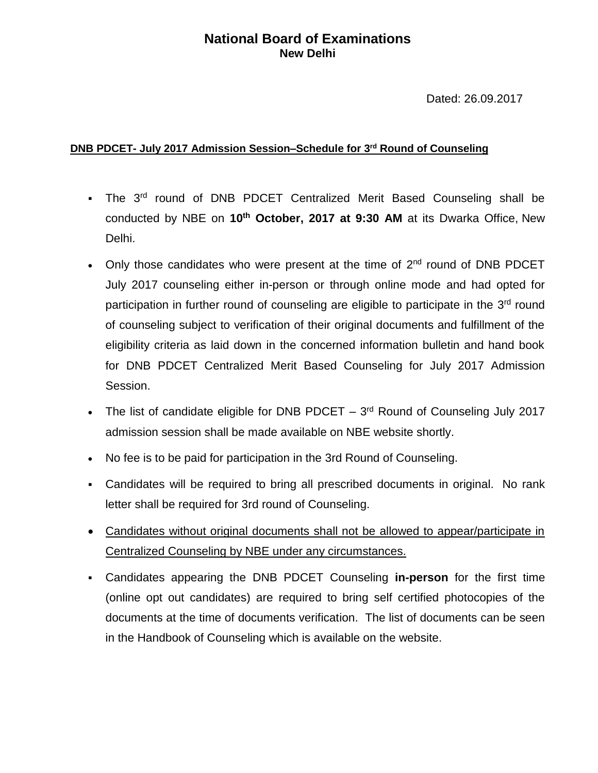## **National Board of Examinations New Delhi**

Dated: 26.09.2017

## **DNB PDCET- July 2017 Admission Session–Schedule for 3 rd Round of Counseling**

- The 3<sup>rd</sup> round of DNB PDCET Centralized Merit Based Counseling shall be conducted by NBE on **10th October, 2017 at 9:30 AM** at its Dwarka Office, New Delhi.
- Only those candidates who were present at the time of  $2<sup>nd</sup>$  round of DNB PDCET July 2017 counseling either in-person or through online mode and had opted for participation in further round of counseling are eligible to participate in the 3<sup>rd</sup> round of counseling subject to verification of their original documents and fulfillment of the eligibility criteria as laid down in the concerned information bulletin and hand book for DNB PDCET Centralized Merit Based Counseling for July 2017 Admission Session.
- The list of candidate eligible for DNB PDCET  $-3<sup>rd</sup>$  Round of Counseling July 2017 admission session shall be made available on NBE website shortly.
- No fee is to be paid for participation in the 3rd Round of Counseling.
- Candidates will be required to bring all prescribed documents in original. No rank letter shall be required for 3rd round of Counseling.
- Candidates without original documents shall not be allowed to appear/participate in Centralized Counseling by NBE under any circumstances.
- Candidates appearing the DNB PDCET Counseling **in-person** for the first time (online opt out candidates) are required to bring self certified photocopies of the documents at the time of documents verification. The list of documents can be seen in the Handbook of Counseling which is available on the website.